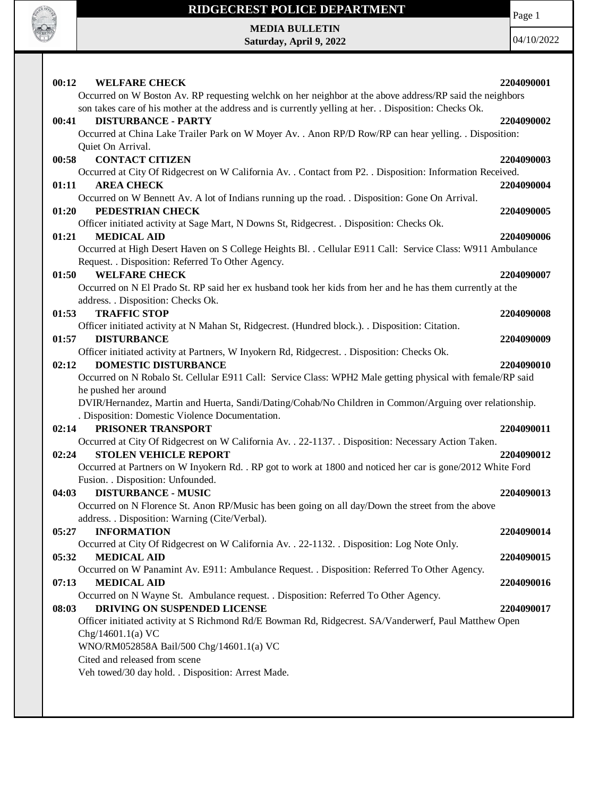

Page 1

**MEDIA BULLETIN Saturday, April 9, 2022**

04/10/2022

| 00:12<br><b>WELFARE CHECK</b>                                                                               | 2204090001 |
|-------------------------------------------------------------------------------------------------------------|------------|
| Occurred on W Boston Av. RP requesting welchk on her neighbor at the above address/RP said the neighbors    |            |
| son takes care of his mother at the address and is currently yelling at her. . Disposition: Checks Ok.      |            |
| <b>DISTURBANCE - PARTY</b><br>00:41                                                                         | 2204090002 |
| Occurred at China Lake Trailer Park on W Moyer Av. . Anon RP/D Row/RP can hear yelling. . Disposition:      |            |
| Quiet On Arrival.                                                                                           |            |
| <b>CONTACT CITIZEN</b><br>00:58                                                                             | 2204090003 |
| Occurred at City Of Ridgecrest on W California Av. . Contact from P2. . Disposition: Information Received.  |            |
| <b>AREA CHECK</b><br>01:11                                                                                  | 2204090004 |
| Occurred on W Bennett Av. A lot of Indians running up the road. . Disposition: Gone On Arrival.             |            |
| PEDESTRIAN CHECK<br>01:20                                                                                   | 2204090005 |
| Officer initiated activity at Sage Mart, N Downs St, Ridgecrest. . Disposition: Checks Ok.                  |            |
| 01:21<br><b>MEDICAL AID</b>                                                                                 | 2204090006 |
| Occurred at High Desert Haven on S College Heights Bl. . Cellular E911 Call: Service Class: W911 Ambulance  |            |
| Request. . Disposition: Referred To Other Agency.                                                           |            |
| <b>WELFARE CHECK</b><br>01:50                                                                               | 2204090007 |
| Occurred on N El Prado St. RP said her ex husband took her kids from her and he has them currently at the   |            |
| address. . Disposition: Checks Ok.                                                                          |            |
| 01:53<br><b>TRAFFIC STOP</b>                                                                                | 2204090008 |
| Officer initiated activity at N Mahan St, Ridgecrest. (Hundred block.). . Disposition: Citation.            |            |
| <b>DISTURBANCE</b><br>01:57                                                                                 | 2204090009 |
| Officer initiated activity at Partners, W Inyokern Rd, Ridgecrest. . Disposition: Checks Ok.                |            |
| <b>DOMESTIC DISTURBANCE</b><br>02:12                                                                        | 2204090010 |
| Occurred on N Robalo St. Cellular E911 Call: Service Class: WPH2 Male getting physical with female/RP said  |            |
| he pushed her around                                                                                        |            |
| DVIR/Hernandez, Martin and Huerta, Sandi/Dating/Cohab/No Children in Common/Arguing over relationship.      |            |
| . Disposition: Domestic Violence Documentation.                                                             |            |
| PRISONER TRANSPORT<br>02:14                                                                                 | 2204090011 |
| Occurred at City Of Ridgecrest on W California Av. . 22-1137. . Disposition: Necessary Action Taken.        |            |
| 02:24<br><b>STOLEN VEHICLE REPORT</b>                                                                       | 2204090012 |
| Occurred at Partners on W Inyokern Rd. . RP got to work at 1800 and noticed her car is gone/2012 White Ford |            |
| Fusion. . Disposition: Unfounded.                                                                           |            |
| 04:03<br><b>DISTURBANCE - MUSIC</b>                                                                         | 2204090013 |
| Occurred on N Florence St. Anon RP/Music has been going on all day/Down the street from the above           |            |
| address. . Disposition: Warning (Cite/Verbal).                                                              |            |
| <b>INFORMATION</b><br>05:27                                                                                 | 2204090014 |
| Occurred at City Of Ridgecrest on W California Av. . 22-1132. . Disposition: Log Note Only.                 |            |
| 05:32<br><b>MEDICAL AID</b>                                                                                 | 2204090015 |
| Occurred on W Panamint Av. E911: Ambulance Request. . Disposition: Referred To Other Agency.                |            |
| 07:13<br><b>MEDICAL AID</b>                                                                                 | 2204090016 |
| Occurred on N Wayne St. Ambulance request. . Disposition: Referred To Other Agency.                         |            |
| DRIVING ON SUSPENDED LICENSE<br>08:03                                                                       | 2204090017 |
| Officer initiated activity at S Richmond Rd/E Bowman Rd, Ridgecrest. SA/Vanderwerf, Paul Matthew Open       |            |
| Chg/14601.1(a) VC                                                                                           |            |
| WNO/RM052858A Bail/500 Chg/14601.1(a) VC                                                                    |            |
| Cited and released from scene                                                                               |            |
| Veh towed/30 day hold. . Disposition: Arrest Made.                                                          |            |
|                                                                                                             |            |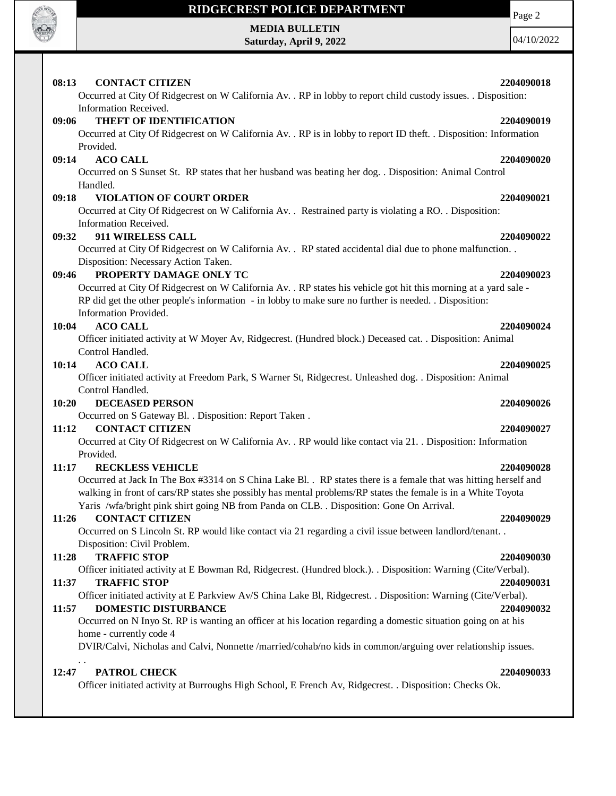

**MEDIA BULLETIN Saturday, April 9, 2022** Page 2

04/10/2022

#### **08:13 CONTACT CITIZEN 2204090018** Occurred at City Of Ridgecrest on W California Av. . RP in lobby to report child custody issues. . Disposition: Information Received. **09:06 THEFT OF IDENTIFICATION 2204090019** Occurred at City Of Ridgecrest on W California Av. . RP is in lobby to report ID theft. . Disposition: Information Provided. **09:14 ACO CALL 2204090020** Occurred on S Sunset St. RP states that her husband was beating her dog. . Disposition: Animal Control Handled. **09:18 VIOLATION OF COURT ORDER 2204090021** Occurred at City Of Ridgecrest on W California Av. . Restrained party is violating a RO. . Disposition: Information Received. **09:32 911 WIRELESS CALL 2204090022** Occurred at City Of Ridgecrest on W California Av. . RP stated accidental dial due to phone malfunction. . Disposition: Necessary Action Taken. **09:46 PROPERTY DAMAGE ONLY TC 2204090023** Occurred at City Of Ridgecrest on W California Av. . RP states his vehicle got hit this morning at a yard sale - RP did get the other people's information - in lobby to make sure no further is needed. . Disposition: Information Provided. **10:04 ACO CALL 2204090024** Officer initiated activity at W Moyer Av, Ridgecrest. (Hundred block.) Deceased cat. . Disposition: Animal Control Handled. **10:14 ACO CALL 2204090025** Officer initiated activity at Freedom Park, S Warner St, Ridgecrest. Unleashed dog. . Disposition: Animal Control Handled. **10:20 DECEASED PERSON 2204090026** Occurred on S Gateway Bl. . Disposition: Report Taken . **11:12 CONTACT CITIZEN 2204090027** Occurred at City Of Ridgecrest on W California Av. . RP would like contact via 21. . Disposition: Information Provided. **11:17 RECKLESS VEHICLE 2204090028** Occurred at Jack In The Box #3314 on S China Lake Bl. . RP states there is a female that was hitting herself and walking in front of cars/RP states she possibly has mental problems/RP states the female is in a White Toyota Yaris /wfa/bright pink shirt going NB from Panda on CLB. . Disposition: Gone On Arrival. **11:26 CONTACT CITIZEN 2204090029** Occurred on S Lincoln St. RP would like contact via 21 regarding a civil issue between landlord/tenant. . Disposition: Civil Problem. **11:28 TRAFFIC STOP 2204090030** Officer initiated activity at E Bowman Rd, Ridgecrest. (Hundred block.). . Disposition: Warning (Cite/Verbal). **11:37 TRAFFIC STOP 2204090031** Officer initiated activity at E Parkview Av/S China Lake Bl, Ridgecrest. . Disposition: Warning (Cite/Verbal). **11:57 DOMESTIC DISTURBANCE 2204090032** Occurred on N Inyo St. RP is wanting an officer at his location regarding a domestic situation going on at his home - currently code 4 DVIR/Calvi, Nicholas and Calvi, Nonnette /married/cohab/no kids in common/arguing over relationship issues. . . **12:47 PATROL CHECK 2204090033** Officer initiated activity at Burroughs High School, E French Av, Ridgecrest. . Disposition: Checks Ok.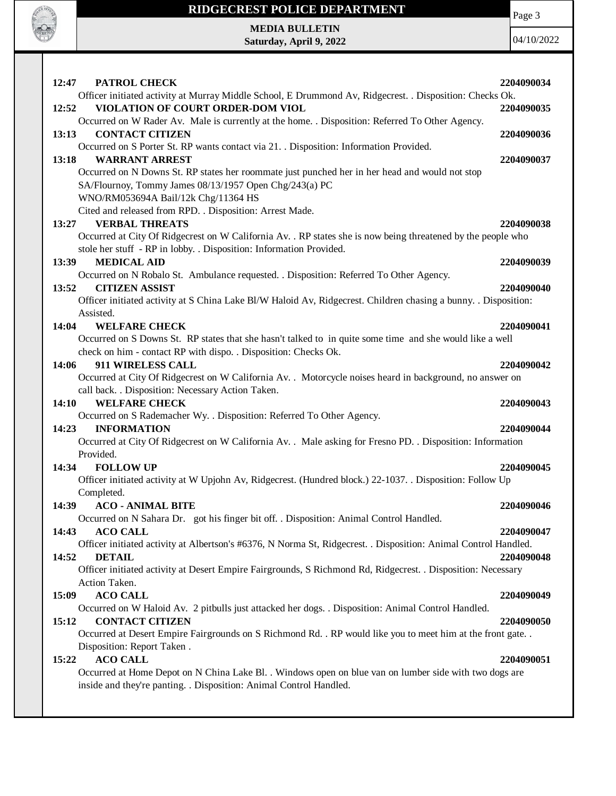

**MEDIA BULLETIN Saturday, April 9, 2022**

**RADIO DE LA CARDIO** 

04/10/2022

| Officer initiated activity at Murray Middle School, E Drummond Av, Ridgecrest. . Disposition: Checks Ok.<br>VIOLATION OF COURT ORDER-DOM VIOL<br>12:52<br>2204090035<br>Occurred on W Rader Av. Male is currently at the home. . Disposition: Referred To Other Agency.<br>13:13<br><b>CONTACT CITIZEN</b><br>2204090036<br>Occurred on S Porter St. RP wants contact via 21. . Disposition: Information Provided.<br>13:18<br><b>WARRANT ARREST</b><br>2204090037<br>Occurred on N Downs St. RP states her roommate just punched her in her head and would not stop<br>SA/Flournoy, Tommy James 08/13/1957 Open Chg/243(a) PC<br>WNO/RM053694A Bail/12k Chg/11364 HS<br>Cited and released from RPD. . Disposition: Arrest Made.<br><b>VERBAL THREATS</b><br>2204090038<br>13:27<br>Occurred at City Of Ridgecrest on W California Av. . RP states she is now being threatened by the people who<br>stole her stuff - RP in lobby. . Disposition: Information Provided.<br>13:39<br><b>MEDICAL AID</b><br>2204090039<br>Occurred on N Robalo St. Ambulance requested. . Disposition: Referred To Other Agency.<br>13:52<br><b>CITIZEN ASSIST</b><br>2204090040<br>Officer initiated activity at S China Lake Bl/W Haloid Av, Ridgecrest. Children chasing a bunny. . Disposition:<br>Assisted.<br>14:04<br><b>WELFARE CHECK</b><br>2204090041<br>Occurred on S Downs St. RP states that she hasn't talked to in quite some time and she would like a well<br>check on him - contact RP with dispo. . Disposition: Checks Ok.<br>911 WIRELESS CALL<br>14:06<br>2204090042<br>Occurred at City Of Ridgecrest on W California Av. . Motorcycle noises heard in background, no answer on<br>call back. . Disposition: Necessary Action Taken. |
|--------------------------------------------------------------------------------------------------------------------------------------------------------------------------------------------------------------------------------------------------------------------------------------------------------------------------------------------------------------------------------------------------------------------------------------------------------------------------------------------------------------------------------------------------------------------------------------------------------------------------------------------------------------------------------------------------------------------------------------------------------------------------------------------------------------------------------------------------------------------------------------------------------------------------------------------------------------------------------------------------------------------------------------------------------------------------------------------------------------------------------------------------------------------------------------------------------------------------------------------------------------------------------------------------------------------------------------------------------------------------------------------------------------------------------------------------------------------------------------------------------------------------------------------------------------------------------------------------------------------------------------------------------------------------------------------------------------------------------------------|
|                                                                                                                                                                                                                                                                                                                                                                                                                                                                                                                                                                                                                                                                                                                                                                                                                                                                                                                                                                                                                                                                                                                                                                                                                                                                                                                                                                                                                                                                                                                                                                                                                                                                                                                                            |
|                                                                                                                                                                                                                                                                                                                                                                                                                                                                                                                                                                                                                                                                                                                                                                                                                                                                                                                                                                                                                                                                                                                                                                                                                                                                                                                                                                                                                                                                                                                                                                                                                                                                                                                                            |
|                                                                                                                                                                                                                                                                                                                                                                                                                                                                                                                                                                                                                                                                                                                                                                                                                                                                                                                                                                                                                                                                                                                                                                                                                                                                                                                                                                                                                                                                                                                                                                                                                                                                                                                                            |
|                                                                                                                                                                                                                                                                                                                                                                                                                                                                                                                                                                                                                                                                                                                                                                                                                                                                                                                                                                                                                                                                                                                                                                                                                                                                                                                                                                                                                                                                                                                                                                                                                                                                                                                                            |
|                                                                                                                                                                                                                                                                                                                                                                                                                                                                                                                                                                                                                                                                                                                                                                                                                                                                                                                                                                                                                                                                                                                                                                                                                                                                                                                                                                                                                                                                                                                                                                                                                                                                                                                                            |
|                                                                                                                                                                                                                                                                                                                                                                                                                                                                                                                                                                                                                                                                                                                                                                                                                                                                                                                                                                                                                                                                                                                                                                                                                                                                                                                                                                                                                                                                                                                                                                                                                                                                                                                                            |
|                                                                                                                                                                                                                                                                                                                                                                                                                                                                                                                                                                                                                                                                                                                                                                                                                                                                                                                                                                                                                                                                                                                                                                                                                                                                                                                                                                                                                                                                                                                                                                                                                                                                                                                                            |
|                                                                                                                                                                                                                                                                                                                                                                                                                                                                                                                                                                                                                                                                                                                                                                                                                                                                                                                                                                                                                                                                                                                                                                                                                                                                                                                                                                                                                                                                                                                                                                                                                                                                                                                                            |
|                                                                                                                                                                                                                                                                                                                                                                                                                                                                                                                                                                                                                                                                                                                                                                                                                                                                                                                                                                                                                                                                                                                                                                                                                                                                                                                                                                                                                                                                                                                                                                                                                                                                                                                                            |
|                                                                                                                                                                                                                                                                                                                                                                                                                                                                                                                                                                                                                                                                                                                                                                                                                                                                                                                                                                                                                                                                                                                                                                                                                                                                                                                                                                                                                                                                                                                                                                                                                                                                                                                                            |
|                                                                                                                                                                                                                                                                                                                                                                                                                                                                                                                                                                                                                                                                                                                                                                                                                                                                                                                                                                                                                                                                                                                                                                                                                                                                                                                                                                                                                                                                                                                                                                                                                                                                                                                                            |
|                                                                                                                                                                                                                                                                                                                                                                                                                                                                                                                                                                                                                                                                                                                                                                                                                                                                                                                                                                                                                                                                                                                                                                                                                                                                                                                                                                                                                                                                                                                                                                                                                                                                                                                                            |
|                                                                                                                                                                                                                                                                                                                                                                                                                                                                                                                                                                                                                                                                                                                                                                                                                                                                                                                                                                                                                                                                                                                                                                                                                                                                                                                                                                                                                                                                                                                                                                                                                                                                                                                                            |
|                                                                                                                                                                                                                                                                                                                                                                                                                                                                                                                                                                                                                                                                                                                                                                                                                                                                                                                                                                                                                                                                                                                                                                                                                                                                                                                                                                                                                                                                                                                                                                                                                                                                                                                                            |
|                                                                                                                                                                                                                                                                                                                                                                                                                                                                                                                                                                                                                                                                                                                                                                                                                                                                                                                                                                                                                                                                                                                                                                                                                                                                                                                                                                                                                                                                                                                                                                                                                                                                                                                                            |
|                                                                                                                                                                                                                                                                                                                                                                                                                                                                                                                                                                                                                                                                                                                                                                                                                                                                                                                                                                                                                                                                                                                                                                                                                                                                                                                                                                                                                                                                                                                                                                                                                                                                                                                                            |
|                                                                                                                                                                                                                                                                                                                                                                                                                                                                                                                                                                                                                                                                                                                                                                                                                                                                                                                                                                                                                                                                                                                                                                                                                                                                                                                                                                                                                                                                                                                                                                                                                                                                                                                                            |
|                                                                                                                                                                                                                                                                                                                                                                                                                                                                                                                                                                                                                                                                                                                                                                                                                                                                                                                                                                                                                                                                                                                                                                                                                                                                                                                                                                                                                                                                                                                                                                                                                                                                                                                                            |
|                                                                                                                                                                                                                                                                                                                                                                                                                                                                                                                                                                                                                                                                                                                                                                                                                                                                                                                                                                                                                                                                                                                                                                                                                                                                                                                                                                                                                                                                                                                                                                                                                                                                                                                                            |
|                                                                                                                                                                                                                                                                                                                                                                                                                                                                                                                                                                                                                                                                                                                                                                                                                                                                                                                                                                                                                                                                                                                                                                                                                                                                                                                                                                                                                                                                                                                                                                                                                                                                                                                                            |
|                                                                                                                                                                                                                                                                                                                                                                                                                                                                                                                                                                                                                                                                                                                                                                                                                                                                                                                                                                                                                                                                                                                                                                                                                                                                                                                                                                                                                                                                                                                                                                                                                                                                                                                                            |
|                                                                                                                                                                                                                                                                                                                                                                                                                                                                                                                                                                                                                                                                                                                                                                                                                                                                                                                                                                                                                                                                                                                                                                                                                                                                                                                                                                                                                                                                                                                                                                                                                                                                                                                                            |
| <b>WELFARE CHECK</b><br>14:10<br>2204090043                                                                                                                                                                                                                                                                                                                                                                                                                                                                                                                                                                                                                                                                                                                                                                                                                                                                                                                                                                                                                                                                                                                                                                                                                                                                                                                                                                                                                                                                                                                                                                                                                                                                                                |
| Occurred on S Rademacher Wy. . Disposition: Referred To Other Agency.                                                                                                                                                                                                                                                                                                                                                                                                                                                                                                                                                                                                                                                                                                                                                                                                                                                                                                                                                                                                                                                                                                                                                                                                                                                                                                                                                                                                                                                                                                                                                                                                                                                                      |
| 14:23<br><b>INFORMATION</b><br>2204090044                                                                                                                                                                                                                                                                                                                                                                                                                                                                                                                                                                                                                                                                                                                                                                                                                                                                                                                                                                                                                                                                                                                                                                                                                                                                                                                                                                                                                                                                                                                                                                                                                                                                                                  |
| Occurred at City Of Ridgecrest on W California Av. . Male asking for Fresno PD. . Disposition: Information                                                                                                                                                                                                                                                                                                                                                                                                                                                                                                                                                                                                                                                                                                                                                                                                                                                                                                                                                                                                                                                                                                                                                                                                                                                                                                                                                                                                                                                                                                                                                                                                                                 |
| Provided.                                                                                                                                                                                                                                                                                                                                                                                                                                                                                                                                                                                                                                                                                                                                                                                                                                                                                                                                                                                                                                                                                                                                                                                                                                                                                                                                                                                                                                                                                                                                                                                                                                                                                                                                  |
| 14:34<br><b>FOLLOW UP</b><br>2204090045                                                                                                                                                                                                                                                                                                                                                                                                                                                                                                                                                                                                                                                                                                                                                                                                                                                                                                                                                                                                                                                                                                                                                                                                                                                                                                                                                                                                                                                                                                                                                                                                                                                                                                    |
| Officer initiated activity at W Upjohn Av, Ridgecrest. (Hundred block.) 22-1037. . Disposition: Follow Up                                                                                                                                                                                                                                                                                                                                                                                                                                                                                                                                                                                                                                                                                                                                                                                                                                                                                                                                                                                                                                                                                                                                                                                                                                                                                                                                                                                                                                                                                                                                                                                                                                  |
| Completed.                                                                                                                                                                                                                                                                                                                                                                                                                                                                                                                                                                                                                                                                                                                                                                                                                                                                                                                                                                                                                                                                                                                                                                                                                                                                                                                                                                                                                                                                                                                                                                                                                                                                                                                                 |
| 14:39<br><b>ACO - ANIMAL BITE</b><br>2204090046                                                                                                                                                                                                                                                                                                                                                                                                                                                                                                                                                                                                                                                                                                                                                                                                                                                                                                                                                                                                                                                                                                                                                                                                                                                                                                                                                                                                                                                                                                                                                                                                                                                                                            |
| Occurred on N Sahara Dr. got his finger bit off. . Disposition: Animal Control Handled.<br><b>ACO CALL</b><br>14:43<br>2204090047                                                                                                                                                                                                                                                                                                                                                                                                                                                                                                                                                                                                                                                                                                                                                                                                                                                                                                                                                                                                                                                                                                                                                                                                                                                                                                                                                                                                                                                                                                                                                                                                          |
|                                                                                                                                                                                                                                                                                                                                                                                                                                                                                                                                                                                                                                                                                                                                                                                                                                                                                                                                                                                                                                                                                                                                                                                                                                                                                                                                                                                                                                                                                                                                                                                                                                                                                                                                            |
|                                                                                                                                                                                                                                                                                                                                                                                                                                                                                                                                                                                                                                                                                                                                                                                                                                                                                                                                                                                                                                                                                                                                                                                                                                                                                                                                                                                                                                                                                                                                                                                                                                                                                                                                            |
| Officer initiated activity at Albertson's #6376, N Norma St, Ridgecrest. . Disposition: Animal Control Handled.                                                                                                                                                                                                                                                                                                                                                                                                                                                                                                                                                                                                                                                                                                                                                                                                                                                                                                                                                                                                                                                                                                                                                                                                                                                                                                                                                                                                                                                                                                                                                                                                                            |
| 14:52<br><b>DETAIL</b><br>2204090048                                                                                                                                                                                                                                                                                                                                                                                                                                                                                                                                                                                                                                                                                                                                                                                                                                                                                                                                                                                                                                                                                                                                                                                                                                                                                                                                                                                                                                                                                                                                                                                                                                                                                                       |
| Officer initiated activity at Desert Empire Fairgrounds, S Richmond Rd, Ridgecrest. . Disposition: Necessary<br>Action Taken.                                                                                                                                                                                                                                                                                                                                                                                                                                                                                                                                                                                                                                                                                                                                                                                                                                                                                                                                                                                                                                                                                                                                                                                                                                                                                                                                                                                                                                                                                                                                                                                                              |
| <b>ACO CALL</b><br>15:09<br>2204090049                                                                                                                                                                                                                                                                                                                                                                                                                                                                                                                                                                                                                                                                                                                                                                                                                                                                                                                                                                                                                                                                                                                                                                                                                                                                                                                                                                                                                                                                                                                                                                                                                                                                                                     |
| Occurred on W Haloid Av. 2 pitbulls just attacked her dogs. . Disposition: Animal Control Handled.                                                                                                                                                                                                                                                                                                                                                                                                                                                                                                                                                                                                                                                                                                                                                                                                                                                                                                                                                                                                                                                                                                                                                                                                                                                                                                                                                                                                                                                                                                                                                                                                                                         |
| 15:12<br><b>CONTACT CITIZEN</b><br>2204090050                                                                                                                                                                                                                                                                                                                                                                                                                                                                                                                                                                                                                                                                                                                                                                                                                                                                                                                                                                                                                                                                                                                                                                                                                                                                                                                                                                                                                                                                                                                                                                                                                                                                                              |
| Occurred at Desert Empire Fairgrounds on S Richmond Rd. . RP would like you to meet him at the front gate. .                                                                                                                                                                                                                                                                                                                                                                                                                                                                                                                                                                                                                                                                                                                                                                                                                                                                                                                                                                                                                                                                                                                                                                                                                                                                                                                                                                                                                                                                                                                                                                                                                               |
| Disposition: Report Taken.                                                                                                                                                                                                                                                                                                                                                                                                                                                                                                                                                                                                                                                                                                                                                                                                                                                                                                                                                                                                                                                                                                                                                                                                                                                                                                                                                                                                                                                                                                                                                                                                                                                                                                                 |
| <b>ACO CALL</b><br>15:22<br>2204090051                                                                                                                                                                                                                                                                                                                                                                                                                                                                                                                                                                                                                                                                                                                                                                                                                                                                                                                                                                                                                                                                                                                                                                                                                                                                                                                                                                                                                                                                                                                                                                                                                                                                                                     |
| Occurred at Home Depot on N China Lake Bl. . Windows open on blue van on lumber side with two dogs are<br>inside and they're panting. . Disposition: Animal Control Handled.                                                                                                                                                                                                                                                                                                                                                                                                                                                                                                                                                                                                                                                                                                                                                                                                                                                                                                                                                                                                                                                                                                                                                                                                                                                                                                                                                                                                                                                                                                                                                               |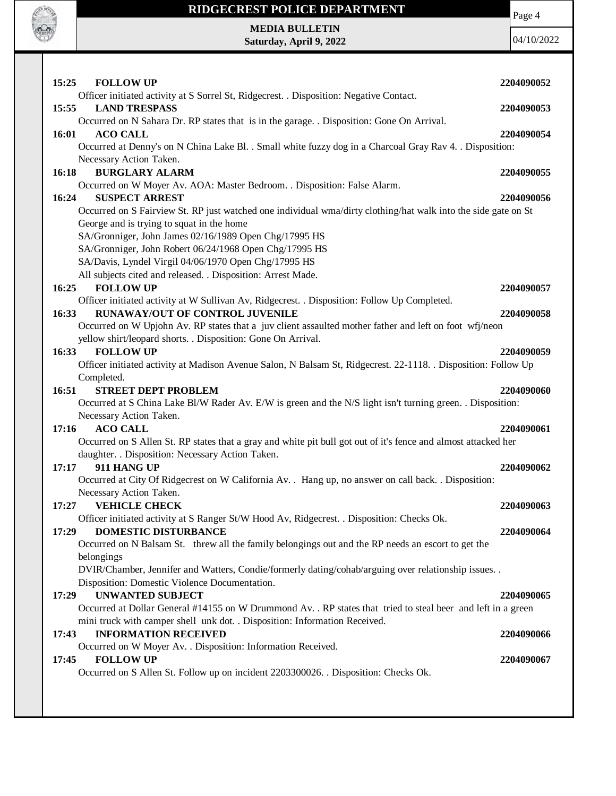

## **RIDGECREST POLICE DEPARTMENT MEDIA BULLETIN**

| Officer initiated activity at S Sorrel St, Ridgecrest. . Disposition: Negative Contact.<br>15:55<br><b>LAND TRESPASS</b><br>2204090053<br>Occurred on N Sahara Dr. RP states that is in the garage. . Disposition: Gone On Arrival.<br>16:01<br><b>ACO CALL</b><br>2204090054<br>Occurred at Denny's on N China Lake Bl. . Small white fuzzy dog in a Charcoal Gray Rav 4. . Disposition:<br>Necessary Action Taken.<br><b>BURGLARY ALARM</b><br>16:18<br>2204090055<br>Occurred on W Moyer Av. AOA: Master Bedroom. . Disposition: False Alarm.<br><b>SUSPECT ARREST</b><br>16:24<br>2204090056 |
|--------------------------------------------------------------------------------------------------------------------------------------------------------------------------------------------------------------------------------------------------------------------------------------------------------------------------------------------------------------------------------------------------------------------------------------------------------------------------------------------------------------------------------------------------------------------------------------------------|
|                                                                                                                                                                                                                                                                                                                                                                                                                                                                                                                                                                                                  |
|                                                                                                                                                                                                                                                                                                                                                                                                                                                                                                                                                                                                  |
|                                                                                                                                                                                                                                                                                                                                                                                                                                                                                                                                                                                                  |
|                                                                                                                                                                                                                                                                                                                                                                                                                                                                                                                                                                                                  |
|                                                                                                                                                                                                                                                                                                                                                                                                                                                                                                                                                                                                  |
| Occurred on S Fairview St. RP just watched one individual wma/dirty clothing/hat walk into the side gate on St                                                                                                                                                                                                                                                                                                                                                                                                                                                                                   |
| George and is trying to squat in the home                                                                                                                                                                                                                                                                                                                                                                                                                                                                                                                                                        |
| SA/Gronniger, John James 02/16/1989 Open Chg/17995 HS                                                                                                                                                                                                                                                                                                                                                                                                                                                                                                                                            |
| SA/Gronniger, John Robert 06/24/1968 Open Chg/17995 HS<br>SA/Davis, Lyndel Virgil 04/06/1970 Open Chg/17995 HS                                                                                                                                                                                                                                                                                                                                                                                                                                                                                   |
| All subjects cited and released. . Disposition: Arrest Made.                                                                                                                                                                                                                                                                                                                                                                                                                                                                                                                                     |
| 16:25<br><b>FOLLOW UP</b><br>2204090057                                                                                                                                                                                                                                                                                                                                                                                                                                                                                                                                                          |
| Officer initiated activity at W Sullivan Av, Ridgecrest. . Disposition: Follow Up Completed.<br><b>RUNAWAY/OUT OF CONTROL JUVENILE</b><br>16:33<br>2204090058                                                                                                                                                                                                                                                                                                                                                                                                                                    |
| Occurred on W Upjohn Av. RP states that a juv client assaulted mother father and left on foot wfj/neon                                                                                                                                                                                                                                                                                                                                                                                                                                                                                           |
| yellow shirt/leopard shorts. . Disposition: Gone On Arrival.                                                                                                                                                                                                                                                                                                                                                                                                                                                                                                                                     |
| 16:33<br><b>FOLLOW UP</b><br>2204090059                                                                                                                                                                                                                                                                                                                                                                                                                                                                                                                                                          |
| Officer initiated activity at Madison Avenue Salon, N Balsam St, Ridgecrest. 22-1118. . Disposition: Follow Up<br>Completed.                                                                                                                                                                                                                                                                                                                                                                                                                                                                     |
| <b>STREET DEPT PROBLEM</b><br>16:51<br>2204090060                                                                                                                                                                                                                                                                                                                                                                                                                                                                                                                                                |
| Occurred at S China Lake Bl/W Rader Av. E/W is green and the N/S light isn't turning green. Disposition:                                                                                                                                                                                                                                                                                                                                                                                                                                                                                         |
| Necessary Action Taken.<br><b>ACO CALL</b><br>17:16<br>2204090061                                                                                                                                                                                                                                                                                                                                                                                                                                                                                                                                |
| Occurred on S Allen St. RP states that a gray and white pit bull got out of it's fence and almost attacked her                                                                                                                                                                                                                                                                                                                                                                                                                                                                                   |
| daughter. . Disposition: Necessary Action Taken.                                                                                                                                                                                                                                                                                                                                                                                                                                                                                                                                                 |
| 17:17<br>911 HANG UP<br>2204090062                                                                                                                                                                                                                                                                                                                                                                                                                                                                                                                                                               |
| Occurred at City Of Ridgecrest on W California Av. . Hang up, no answer on call back. . Disposition:<br>Necessary Action Taken.                                                                                                                                                                                                                                                                                                                                                                                                                                                                  |
| <b>VEHICLE CHECK</b><br>17:27<br>2204090063                                                                                                                                                                                                                                                                                                                                                                                                                                                                                                                                                      |
| Officer initiated activity at S Ranger St/W Hood Av, Ridgecrest. . Disposition: Checks Ok.                                                                                                                                                                                                                                                                                                                                                                                                                                                                                                       |
| <b>DOMESTIC DISTURBANCE</b><br>2204090064<br>17:29                                                                                                                                                                                                                                                                                                                                                                                                                                                                                                                                               |
| Occurred on N Balsam St. threw all the family belongings out and the RP needs an escort to get the<br>belongings                                                                                                                                                                                                                                                                                                                                                                                                                                                                                 |
| DVIR/Chamber, Jennifer and Watters, Condie/formerly dating/cohab/arguing over relationship issues. .                                                                                                                                                                                                                                                                                                                                                                                                                                                                                             |
| Disposition: Domestic Violence Documentation.                                                                                                                                                                                                                                                                                                                                                                                                                                                                                                                                                    |
| <b>UNWANTED SUBJECT</b><br>17:29<br>2204090065<br>Occurred at Dollar General #14155 on W Drummond Av. . RP states that tried to steal beer and left in a green                                                                                                                                                                                                                                                                                                                                                                                                                                   |
| mini truck with camper shell unk dot. . Disposition: Information Received.                                                                                                                                                                                                                                                                                                                                                                                                                                                                                                                       |
| <b>INFORMATION RECEIVED</b><br>17:43<br>2204090066                                                                                                                                                                                                                                                                                                                                                                                                                                                                                                                                               |
| Occurred on W Moyer Av. . Disposition: Information Received.                                                                                                                                                                                                                                                                                                                                                                                                                                                                                                                                     |
| <b>FOLLOW UP</b><br>17:45<br>2204090067<br>Occurred on S Allen St. Follow up on incident 2203300026. . Disposition: Checks Ok.                                                                                                                                                                                                                                                                                                                                                                                                                                                                   |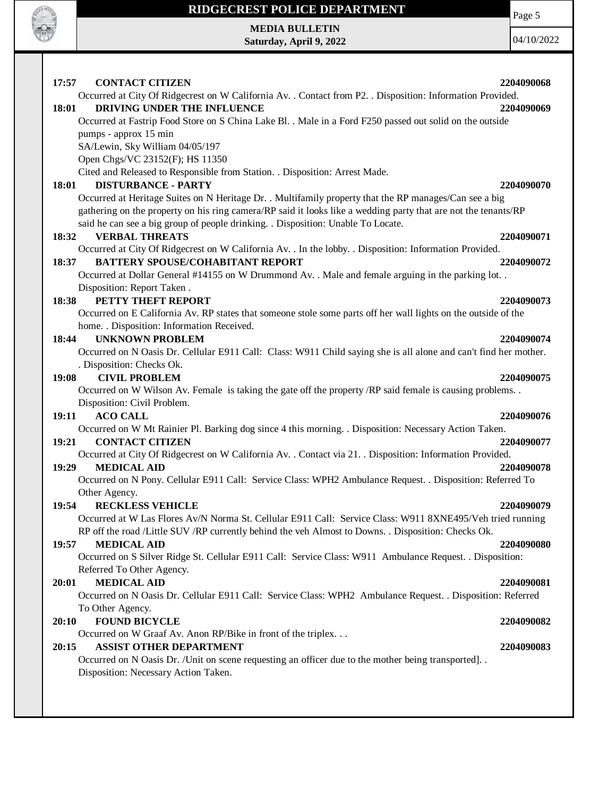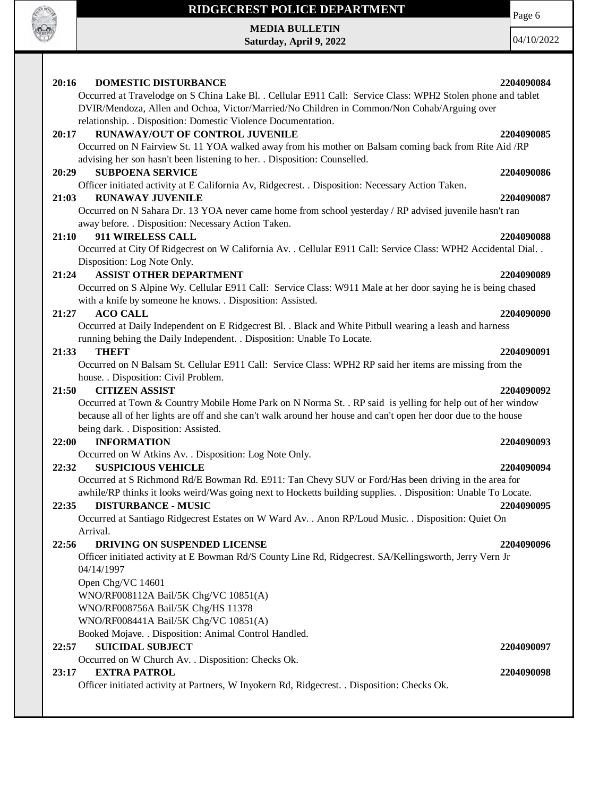

**MEDIA BULLETIN Saturday, April 9, 2022**

04/10/2022

Page 6

| 20:16<br>DOMESTIC DISTURBANCE                                                                                                                                                      | 2204090084 |
|------------------------------------------------------------------------------------------------------------------------------------------------------------------------------------|------------|
| Occurred at Travelodge on S China Lake Bl. . Cellular E911 Call: Service Class: WPH2 Stolen phone and tablet                                                                       |            |
| DVIR/Mendoza, Allen and Ochoa, Victor/Married/No Children in Common/Non Cohab/Arguing over                                                                                         |            |
| relationship. . Disposition: Domestic Violence Documentation.                                                                                                                      |            |
| RUNAWAY/OUT OF CONTROL JUVENILE<br>20:17                                                                                                                                           | 2204090085 |
| Occurred on N Fairview St. 11 YOA walked away from his mother on Balsam coming back from Rite Aid /RP<br>advising her son hasn't been listening to her. . Disposition: Counselled. |            |
| <b>SUBPOENA SERVICE</b><br>20:29                                                                                                                                                   | 2204090086 |
| Officer initiated activity at E California Av, Ridgecrest. . Disposition: Necessary Action Taken.                                                                                  |            |
| 21:03<br><b>RUNAWAY JUVENILE</b>                                                                                                                                                   | 2204090087 |
| Occurred on N Sahara Dr. 13 YOA never came home from school yesterday / RP advised juvenile hasn't ran                                                                             |            |
| away before. . Disposition: Necessary Action Taken.                                                                                                                                |            |
| 911 WIRELESS CALL<br>21:10                                                                                                                                                         | 2204090088 |
| Occurred at City Of Ridgecrest on W California Av. . Cellular E911 Call: Service Class: WPH2 Accidental Dial. .                                                                    |            |
| Disposition: Log Note Only.                                                                                                                                                        |            |
| <b>ASSIST OTHER DEPARTMENT</b><br>21:24                                                                                                                                            | 2204090089 |
| Occurred on S Alpine Wy. Cellular E911 Call: Service Class: W911 Male at her door saying he is being chased                                                                        |            |
| with a knife by someone he knows. . Disposition: Assisted.                                                                                                                         |            |
| <b>ACO CALL</b><br>21:27                                                                                                                                                           | 2204090090 |
| Occurred at Daily Independent on E Ridgecrest Bl. . Black and White Pitbull wearing a leash and harness                                                                            |            |
| running behing the Daily Independent. . Disposition: Unable To Locate.                                                                                                             |            |
| 21:33<br><b>THEFT</b>                                                                                                                                                              | 2204090091 |
| Occurred on N Balsam St. Cellular E911 Call: Service Class: WPH2 RP said her items are missing from the                                                                            |            |
| house. . Disposition: Civil Problem.                                                                                                                                               |            |
| <b>CITIZEN ASSIST</b><br>21:50                                                                                                                                                     | 2204090092 |
| Occurred at Town & Country Mobile Home Park on N Norma St. . RP said is yelling for help out of her window                                                                         |            |
| because all of her lights are off and she can't walk around her house and can't open her door due to the house                                                                     |            |
| being dark. . Disposition: Assisted.                                                                                                                                               |            |
| <b>INFORMATION</b><br>22:00                                                                                                                                                        | 2204090093 |
| Occurred on W Atkins Av. . Disposition: Log Note Only.                                                                                                                             |            |
| 22:32<br><b>SUSPICIOUS VEHICLE</b>                                                                                                                                                 | 2204090094 |
| Occurred at S Richmond Rd/E Bowman Rd. E911: Tan Chevy SUV or Ford/Has been driving in the area for                                                                                |            |
| awhile/RP thinks it looks weird/Was going next to Hocketts building supplies. . Disposition: Unable To Locate.                                                                     |            |
| 22:35<br><b>DISTURBANCE - MUSIC</b>                                                                                                                                                | 2204090095 |
| Occurred at Santiago Ridgecrest Estates on W Ward Av. . Anon RP/Loud Music. . Disposition: Quiet On                                                                                |            |
| Arrival.                                                                                                                                                                           |            |
| 22:56<br>DRIVING ON SUSPENDED LICENSE                                                                                                                                              | 2204090096 |
| Officer initiated activity at E Bowman Rd/S County Line Rd, Ridgecrest. SA/Kellingsworth, Jerry Vern Jr                                                                            |            |
| 04/14/1997                                                                                                                                                                         |            |
| Open Chg/VC 14601                                                                                                                                                                  |            |
| WNO/RF008112A Bail/5K Chg/VC 10851(A)                                                                                                                                              |            |
| WNO/RF008756A Bail/5K Chg/HS 11378                                                                                                                                                 |            |
| WNO/RF008441A Bail/5K Chg/VC 10851(A)                                                                                                                                              |            |
| Booked Mojave. . Disposition: Animal Control Handled.                                                                                                                              |            |
| <b>SUICIDAL SUBJECT</b><br>22:57                                                                                                                                                   | 2204090097 |
| Occurred on W Church Av. . Disposition: Checks Ok.                                                                                                                                 |            |
| <b>EXTRA PATROL</b><br>23:17                                                                                                                                                       | 2204090098 |
| Officer initiated activity at Partners, W Inyokern Rd, Ridgecrest. . Disposition: Checks Ok.                                                                                       |            |
|                                                                                                                                                                                    |            |